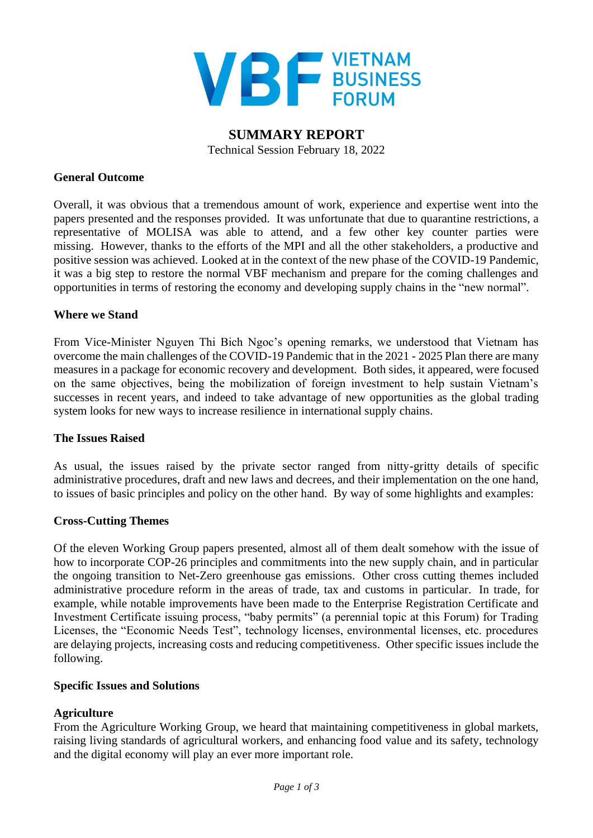

**SUMMARY REPORT**  Technical Session February 18, 2022

#### **General Outcome**

Overall, it was obvious that a tremendous amount of work, experience and expertise went into the papers presented and the responses provided. It was unfortunate that due to quarantine restrictions, a representative of MOLISA was able to attend, and a few other key counter parties were missing. However, thanks to the efforts of the MPI and all the other stakeholders, a productive and positive session was achieved. Looked at in the context of the new phase of the COVID-19 Pandemic, it was a big step to restore the normal VBF mechanism and prepare for the coming challenges and opportunities in terms of restoring the economy and developing supply chains in the "new normal".

#### **Where we Stand**

From Vice-Minister Nguyen Thi Bich Ngoc's opening remarks, we understood that Vietnam has overcome the main challenges of the COVID-19 Pandemic that in the 2021 - 2025 Plan there are many measures in a package for economic recovery and development. Both sides, it appeared, were focused on the same objectives, being the mobilization of foreign investment to help sustain Vietnam's successes in recent years, and indeed to take advantage of new opportunities as the global trading system looks for new ways to increase resilience in international supply chains.

### **The Issues Raised**

As usual, the issues raised by the private sector ranged from nitty-gritty details of specific administrative procedures, draft and new laws and decrees, and their implementation on the one hand, to issues of basic principles and policy on the other hand. By way of some highlights and examples:

### **Cross-Cutting Themes**

Of the eleven Working Group papers presented, almost all of them dealt somehow with the issue of how to incorporate COP-26 principles and commitments into the new supply chain, and in particular the ongoing transition to Net-Zero greenhouse gas emissions. Other cross cutting themes included administrative procedure reform in the areas of trade, tax and customs in particular. In trade, for example, while notable improvements have been made to the Enterprise Registration Certificate and Investment Certificate issuing process, "baby permits" (a perennial topic at this Forum) for Trading Licenses, the "Economic Needs Test", technology licenses, environmental licenses, etc. procedures are delaying projects, increasing costs and reducing competitiveness. Other specific issues include the following.

#### **Specific Issues and Solutions**

### **Agriculture**

From the Agriculture Working Group, we heard that maintaining competitiveness in global markets, raising living standards of agricultural workers, and enhancing food value and its safety, technology and the digital economy will play an ever more important role.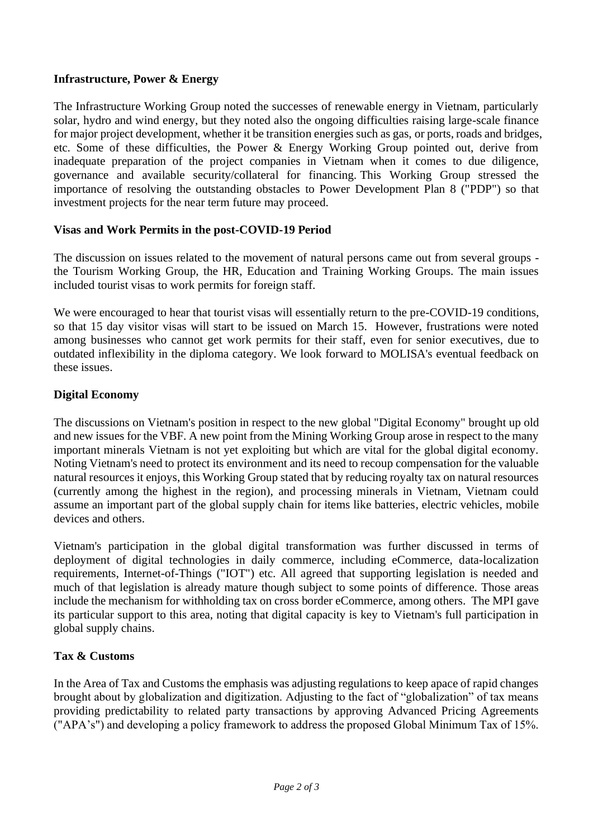## **Infrastructure, Power & Energy**

The Infrastructure Working Group noted the successes of renewable energy in Vietnam, particularly solar, hydro and wind energy, but they noted also the ongoing difficulties raising large-scale finance for major project development, whether it be transition energies such as gas, or ports, roads and bridges, etc. Some of these difficulties, the Power & Energy Working Group pointed out, derive from inadequate preparation of the project companies in Vietnam when it comes to due diligence, governance and available security/collateral for financing. This Working Group stressed the importance of resolving the outstanding obstacles to Power Development Plan 8 ("PDP") so that investment projects for the near term future may proceed.

### **Visas and Work Permits in the post-COVID-19 Period**

The discussion on issues related to the movement of natural persons came out from several groups the Tourism Working Group, the HR, Education and Training Working Groups. The main issues included tourist visas to work permits for foreign staff.

We were encouraged to hear that tourist visas will essentially return to the pre-COVID-19 conditions, so that 15 day visitor visas will start to be issued on March 15. However, frustrations were noted among businesses who cannot get work permits for their staff, even for senior executives, due to outdated inflexibility in the diploma category. We look forward to MOLISA's eventual feedback on these issues.

### **Digital Economy**

The discussions on Vietnam's position in respect to the new global "Digital Economy" brought up old and new issues for the VBF. A new point from the Mining Working Group arose in respect to the many important minerals Vietnam is not yet exploiting but which are vital for the global digital economy. Noting Vietnam's need to protect its environment and its need to recoup compensation for the valuable natural resources it enjoys, this Working Group stated that by reducing royalty tax on natural resources (currently among the highest in the region), and processing minerals in Vietnam, Vietnam could assume an important part of the global supply chain for items like batteries, electric vehicles, mobile devices and others.

Vietnam's participation in the global digital transformation was further discussed in terms of deployment of digital technologies in daily commerce, including eCommerce, data-localization requirements, Internet-of-Things ("IOT") etc. All agreed that supporting legislation is needed and much of that legislation is already mature though subject to some points of difference. Those areas include the mechanism for withholding tax on cross border eCommerce, among others. The MPI gave its particular support to this area, noting that digital capacity is key to Vietnam's full participation in global supply chains.

### **Tax & Customs**

In the Area of Tax and Customs the emphasis was adjusting regulations to keep apace of rapid changes brought about by globalization and digitization. Adjusting to the fact of "globalization" of tax means providing predictability to related party transactions by approving Advanced Pricing Agreements ("APA's") and developing a policy framework to address the proposed Global Minimum Tax of 15%.